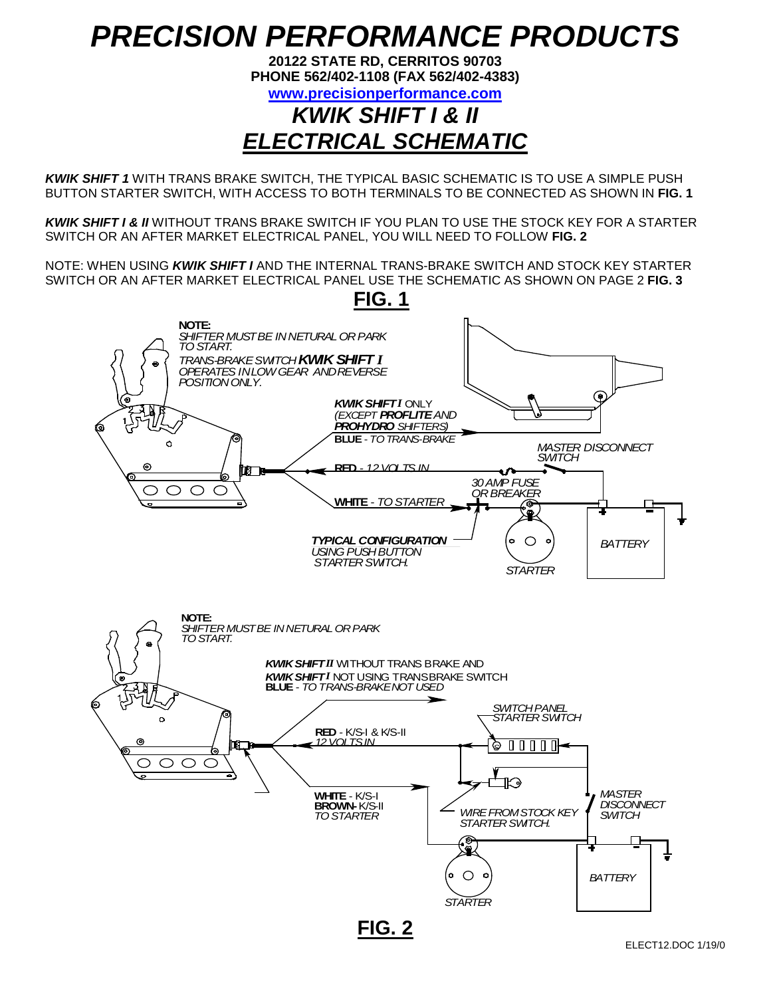## *PRECISION PERFORMANCE PRODUCTS*

**20122 STATE RD, CERRITOS 90703 PHONE 562/402-1108 (FAX 562/402-4383)**

**[www.precisionperformance.com](http://www.precisionperformance.com/)**

## *KWIK SHIFT I & II ELECTRICAL SCHEMATIC*

*KWIK SHIFT 1* WITH TRANS BRAKE SWITCH, THE TYPICAL BASIC SCHEMATIC IS TO USE A SIMPLE PUSH BUTTON STARTER SWITCH, WITH ACCESS TO BOTH TERMINALS TO BE CONNECTED AS SHOWN IN **FIG. 1**

*KWIK SHIFT I & II* WITHOUT TRANS BRAKE SWITCH IF YOU PLAN TO USE THE STOCK KEY FOR A STARTER SWITCH OR AN AFTER MARKET ELECTRICAL PANEL, YOU WILL NEED TO FOLLOW **FIG. 2**

NOTE: WHEN USING *KWIK SHIFT I* AND THE INTERNAL TRANS-BRAKE SWITCH AND STOCK KEY STARTER SWITCH OR AN AFTER MARKET ELECTRICAL PANEL USE THE SCHEMATIC AS SHOWN ON PAGE 2 **FIG. 3**